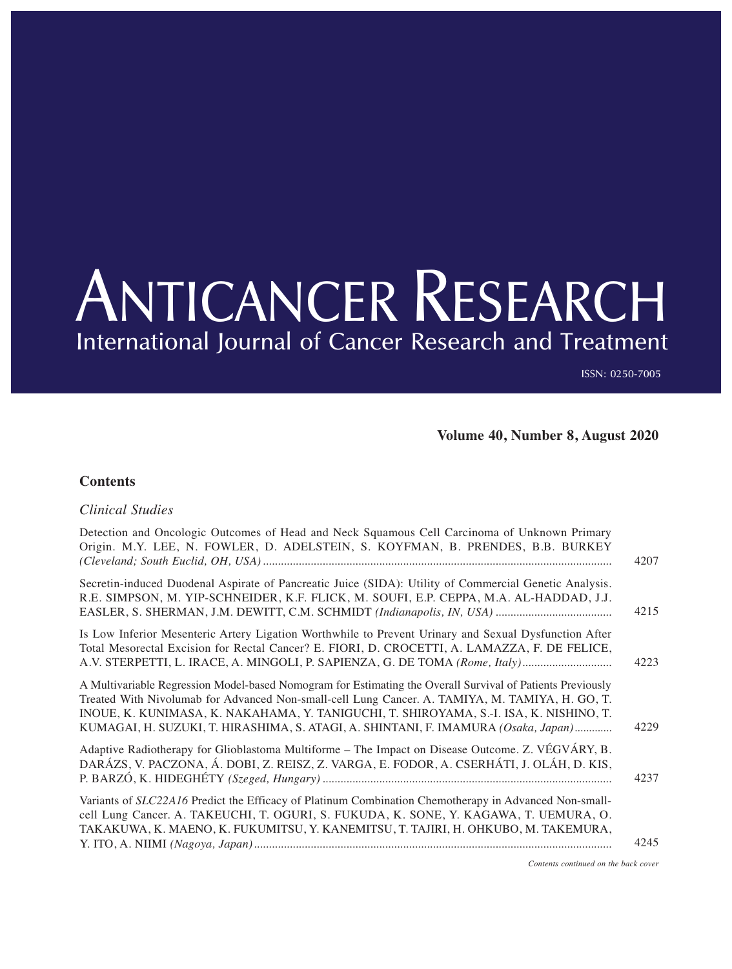## ANTICANCER RESEARCH International Journal of Cancer Research and Treatment

ISSN: 0250-7005

4207

4215

**Volume 40, Number 8, August 2020**

## **Contents**

*Clinical Studies*

## Detection and Oncologic Outcomes of Head and Neck Squamous Cell Carcinoma of Unknown Primary Origin. M.Y. LEE, N. FOWLER, D. ADELSTEIN, S. KOYFMAN, B. PRENDES, B.B. BURKEY *(Cleveland; South Euclid, OH, USA).....................................................................................................................* Secretin-induced Duodenal Aspirate of Pancreatic Juice (SIDA): Utility of Commercial Genetic Analysis. R.E. SIMPSON, M. YIP-SCHNEIDER, K.F. FLICK, M. SOUFI, E.P. CEPPA, M.A. AL-HADDAD, J.J. EASLER, S. SHERMAN, J.M. DEWITT, C.M. SCHMIDT *(Indianapolis, IN, USA) .......................................*

Is Low Inferior Mesenteric Artery Ligation Worthwhile to Prevent Urinary and Sexual Dysfunction After Total Mesorectal Excision for Rectal Cancer? E. FIORI, D. CROCETTI, A. LAMAZZA, F. DE FELICE, A.V. STERPETTI, L. IRACE, A. MINGOLI, P. SAPIENZA, G. DE TOMA *(Rome, Italy)..............................* A Multivariable Regression Model-based Nomogram for Estimating the Overall Survival of Patients Previously Treated With Nivolumab for Advanced Non-small-cell Lung Cancer. A. TAMIYA, M. TAMIYA, H. GO, T. INOUE, K. KUNIMASA, K. NAKAHAMA, Y. TANIGUCHI, T. SHIROYAMA, S.-I. ISA, K. NISHINO, T. KUMAGAI, H. SUZUKI, T. HIRASHIMA, S. ATAGI, A. SHINTANI, F. IMAMURA *(Osaka, Japan).............* Adaptive Radiotherapy for Glioblastoma Multiforme – The Impact on Disease Outcome. Z. VÉGVÁRY, B. DARÁZS, V. PACZONA, Á. DOBI, Z. REISZ, Z. VARGA, E. FODOR, A. CSERHÁTI, J. OLÁH, D. KIS, P. BARZÓ, K. HIDEGHÉTY *(Szeged, Hungary).................................................................................................* Variants of *SLC22A16* Predict the Efficacy of Platinum Combination Chemotherapy in Advanced Non-smallcell Lung Cancer. A. TAKEUCHI, T. OGURI, S. FUKUDA, K. SONE, Y. KAGAWA, T. UEMURA, O. TAKAKUWA, K. MAENO, K. FUKUMITSU, Y. KANEMITSU, T. TAJIRI, H. OHKUBO, M. TAKEMURA, 4223 4229 4237

Y. ITO, A. NIIMI *(Nagoya, Japan)........................................................................................................................* 4245

*Contents continued on the back cover*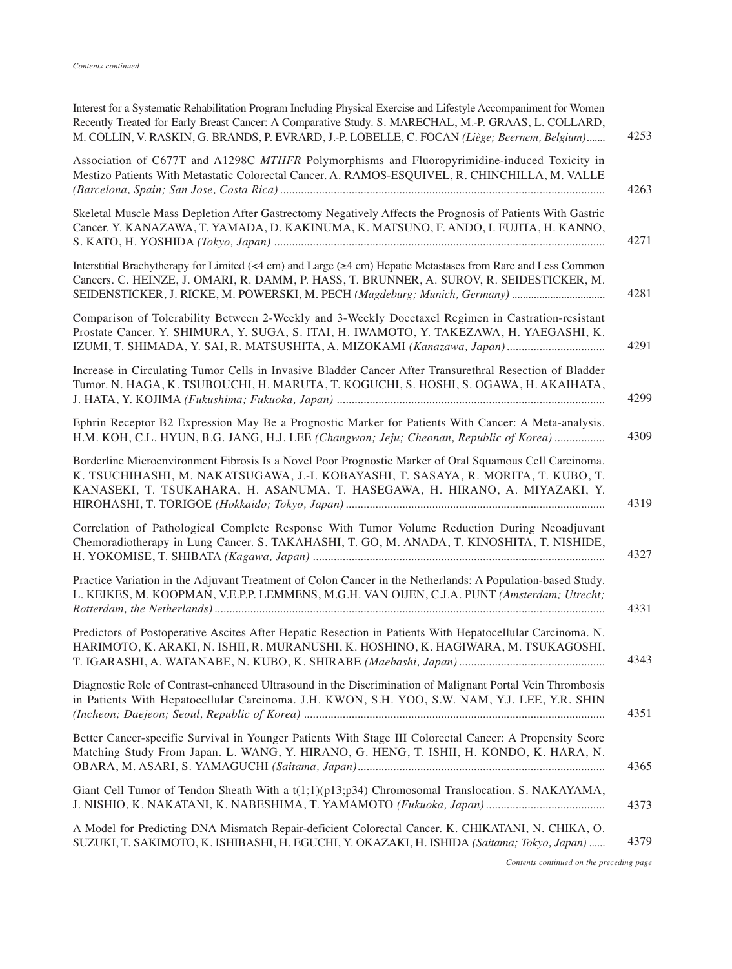| Interest for a Systematic Rehabilitation Program Including Physical Exercise and Lifestyle Accompaniment for Women<br>Recently Treated for Early Breast Cancer: A Comparative Study. S. MARECHAL, M.-P. GRAAS, L. COLLARD,<br>M. COLLIN, V. RASKIN, G. BRANDS, P. EVRARD, J.-P. LOBELLE, C. FOCAN (Liège; Beernem, Belgium) |
|-----------------------------------------------------------------------------------------------------------------------------------------------------------------------------------------------------------------------------------------------------------------------------------------------------------------------------|
| Association of C677T and A1298C MTHFR Polymorphisms and Fluoropyrimidine-induced Toxicity in<br>Mestizo Patients With Metastatic Colorectal Cancer. A. RAMOS-ESQUIVEL, R. CHINCHILLA, M. VALLE<br>4263                                                                                                                      |
| Skeletal Muscle Mass Depletion After Gastrectomy Negatively Affects the Prognosis of Patients With Gastric<br>Cancer. Y. KANAZAWA, T. YAMADA, D. KAKINUMA, K. MATSUNO, F. ANDO, I. FUJITA, H. KANNO,<br>4271                                                                                                                |
| Interstitial Brachytherapy for Limited (<4 cm) and Large (≥4 cm) Hepatic Metastases from Rare and Less Common<br>Cancers. C. HEINZE, J. OMARI, R. DAMM, P. HASS, T. BRUNNER, A. SUROV, R. SEIDESTICKER, M.<br>SEIDENSTICKER, J. RICKE, M. POWERSKI, M. PECH (Magdeburg; Munich, Germany)                                    |
| Comparison of Tolerability Between 2-Weekly and 3-Weekly Docetaxel Regimen in Castration-resistant<br>Prostate Cancer. Y. SHIMURA, Y. SUGA, S. ITAI, H. IWAMOTO, Y. TAKEZAWA, H. YAEGASHI, K.<br>4291<br>IZUMI, T. SHIMADA, Y. SAI, R. MATSUSHITA, A. MIZOKAMI (Kanazawa, Japan)                                            |
| Increase in Circulating Tumor Cells in Invasive Bladder Cancer After Transurethral Resection of Bladder<br>Tumor. N. HAGA, K. TSUBOUCHI, H. MARUTA, T. KOGUCHI, S. HOSHI, S. OGAWA, H. AKAIHATA,                                                                                                                            |
| Ephrin Receptor B2 Expression May Be a Prognostic Marker for Patients With Cancer: A Meta-analysis.<br>H.M. KOH, C.L. HYUN, B.G. JANG, H.J. LEE (Changwon; Jeju; Cheonan, Republic of Korea)                                                                                                                                |
| Borderline Microenvironment Fibrosis Is a Novel Poor Prognostic Marker of Oral Squamous Cell Carcinoma.<br>K. TSUCHIHASHI, M. NAKATSUGAWA, J.-I. KOBAYASHI, T. SASAYA, R. MORITA, T. KUBO, T.<br>KANASEKI, T. TSUKAHARA, H. ASANUMA, T. HASEGAWA, H. HIRANO, A. MIYAZAKI, Y.<br>4319                                        |
| Correlation of Pathological Complete Response With Tumor Volume Reduction During Neoadjuvant<br>Chemoradiotherapy in Lung Cancer. S. TAKAHASHI, T. GO, M. ANADA, T. KINOSHITA, T. NISHIDE,                                                                                                                                  |
| Practice Variation in the Adjuvant Treatment of Colon Cancer in the Netherlands: A Population-based Study.<br>L. KEIKES, M. KOOPMAN, V.E.P.P. LEMMENS, M.G.H. VAN OIJEN, C.J.A. PUNT (Amsterdam; Utrecht;                                                                                                                   |
| Predictors of Postoperative Ascites After Hepatic Resection in Patients With Hepatocellular Carcinoma. N.<br>HARIMOTO, K. ARAKI, N. ISHII, R. MURANUSHI, K. HOSHINO, K. HAGIWARA, M. TSUKAGOSHI,                                                                                                                            |
| Diagnostic Role of Contrast-enhanced Ultrasound in the Discrimination of Malignant Portal Vein Thrombosis<br>in Patients With Hepatocellular Carcinoma. J.H. KWON, S.H. YOO, S.W. NAM, Y.J. LEE, Y.R. SHIN<br>4351                                                                                                          |
| Better Cancer-specific Survival in Younger Patients With Stage III Colorectal Cancer: A Propensity Score<br>Matching Study From Japan. L. WANG, Y. HIRANO, G. HENG, T. ISHII, H. KONDO, K. HARA, N.<br>4365                                                                                                                 |
| Giant Cell Tumor of Tendon Sheath With a $t(1;1)(p13;p34)$ Chromosomal Translocation. S. NAKAYAMA,<br>4373                                                                                                                                                                                                                  |
| A Model for Predicting DNA Mismatch Repair-deficient Colorectal Cancer. K. CHIKATANI, N. CHIKA, O.<br>4379<br>SUZUKI, T. SAKIMOTO, K. ISHIBASHI, H. EGUCHI, Y. OKAZAKI, H. ISHIDA (Saitama; Tokyo, Japan)                                                                                                                   |

*Contents continued on the preceding page*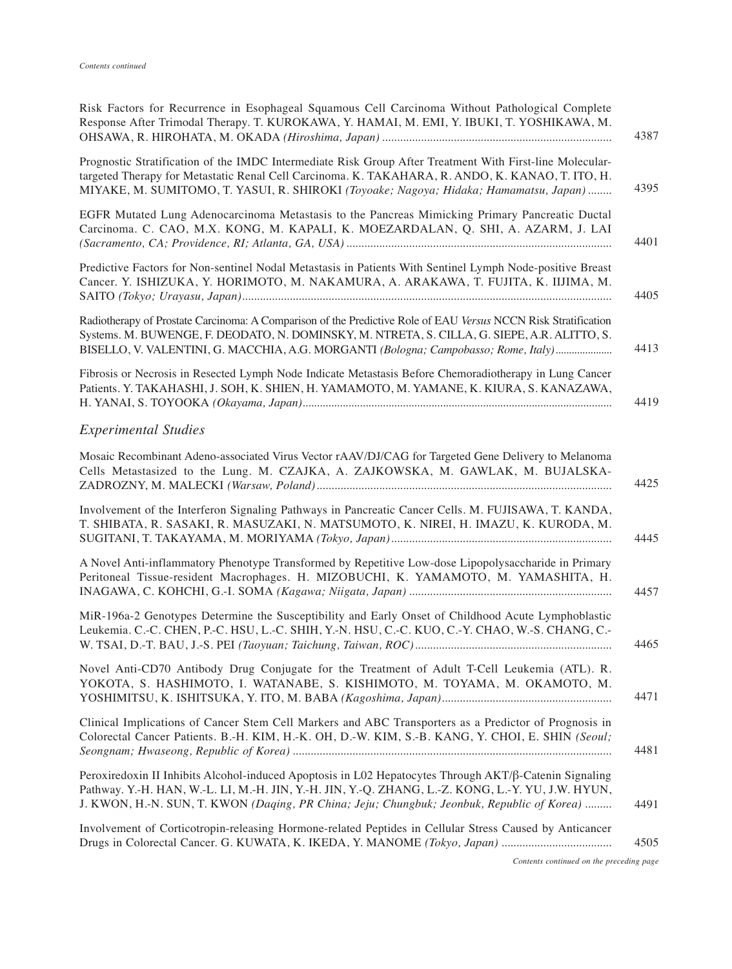| Risk Factors for Recurrence in Esophageal Squamous Cell Carcinoma Without Pathological Complete<br>Response After Trimodal Therapy. T. KUROKAWA, Y. HAMAI, M. EMI, Y. IBUKI, T. YOSHIKAWA, M.                                                                                                             |
|-----------------------------------------------------------------------------------------------------------------------------------------------------------------------------------------------------------------------------------------------------------------------------------------------------------|
| Prognostic Stratification of the IMDC Intermediate Risk Group After Treatment With First-line Molecular-<br>targeted Therapy for Metastatic Renal Cell Carcinoma. K. TAKAHARA, R. ANDO, K. KANAO, T. ITO, H.<br>MIYAKE, M. SUMITOMO, T. YASUI, R. SHIROKI (Toyoake; Nagoya; Hidaka; Hamamatsu, Japan)     |
| EGFR Mutated Lung Adenocarcinoma Metastasis to the Pancreas Mimicking Primary Pancreatic Ductal<br>Carcinoma. C. CAO, M.X. KONG, M. KAPALI, K. MOEZARDALAN, Q. SHI, A. AZARM, J. LAI                                                                                                                      |
| Predictive Factors for Non-sentinel Nodal Metastasis in Patients With Sentinel Lymph Node-positive Breast<br>Cancer. Y. ISHIZUKA, Y. HORIMOTO, M. NAKAMURA, A. ARAKAWA, T. FUJITA, K. IIJIMA, M.                                                                                                          |
| Radiotherapy of Prostate Carcinoma: A Comparison of the Predictive Role of EAU Versus NCCN Risk Stratification<br>Systems. M. BUWENGE, F. DEODATO, N. DOMINSKY, M. NTRETA, S. CILLA, G. SIEPE, A.R. ALITTO, S.<br>BISELLO, V. VALENTINI, G. MACCHIA, A.G. MORGANTI (Bologna; Campobasso; Rome, Italy)     |
| Fibrosis or Necrosis in Resected Lymph Node Indicate Metastasis Before Chemoradiotherapy in Lung Cancer<br>Patients. Y. TAKAHASHI, J. SOH, K. SHIEN, H. YAMAMOTO, M. YAMANE, K. KIURA, S. KANAZAWA,                                                                                                       |
| <b>Experimental Studies</b>                                                                                                                                                                                                                                                                               |
| Mosaic Recombinant Adeno-associated Virus Vector rAAV/DJ/CAG for Targeted Gene Delivery to Melanoma<br>Cells Metastasized to the Lung. M. CZAJKA, A. ZAJKOWSKA, M. GAWLAK, M. BUJALSKA-                                                                                                                   |
| Involvement of the Interferon Signaling Pathways in Pancreatic Cancer Cells. M. FUJISAWA, T. KANDA,<br>T. SHIBATA, R. SASAKI, R. MASUZAKI, N. MATSUMOTO, K. NIREI, H. IMAZU, K. KURODA, M.                                                                                                                |
| A Novel Anti-inflammatory Phenotype Transformed by Repetitive Low-dose Lipopolysaccharide in Primary<br>Peritoneal Tissue-resident Macrophages. H. MIZOBUCHI, K. YAMAMOTO, M. YAMASHITA, H.                                                                                                               |
| MiR-196a-2 Genotypes Determine the Susceptibility and Early Onset of Childhood Acute Lymphoblastic<br>Leukemia. C.-C. CHEN, P.-C. HSU, L.-C. SHIH, Y.-N. HSU, C.-C. KUO, C.-Y. CHAO, W.-S. CHANG, C.-                                                                                                     |
| Novel Anti-CD70 Antibody Drug Conjugate for the Treatment of Adult T-Cell Leukemia (ATL). R.<br>YOKOTA, S. HASHIMOTO, I. WATANABE, S. KISHIMOTO, M. TOYAMA, M. OKAMOTO, M.                                                                                                                                |
| Clinical Implications of Cancer Stem Cell Markers and ABC Transporters as a Predictor of Prognosis in<br>Colorectal Cancer Patients. B.-H. KIM, H.-K. OH, D.-W. KIM, S.-B. KANG, Y. CHOI, E. SHIN (Seoul;                                                                                                 |
| Peroxiredoxin II Inhibits Alcohol-induced Apoptosis in L02 Hepatocytes Through AKT/β-Catenin Signaling<br>Pathway. Y.-H. HAN, W.-L. LI, M.-H. JIN, Y.-H. JIN, Y.-Q. ZHANG, L.-Z. KONG, L.-Y. YU, J.W. HYUN,<br>J. KWON, H.-N. SUN, T. KWON (Daging, PR China; Jeju; Chungbuk; Jeonbuk, Republic of Korea) |
| Involvement of Corticotropin-releasing Hormone-related Peptides in Cellular Stress Caused by Anticancer                                                                                                                                                                                                   |

*Contents continued on the preceding page*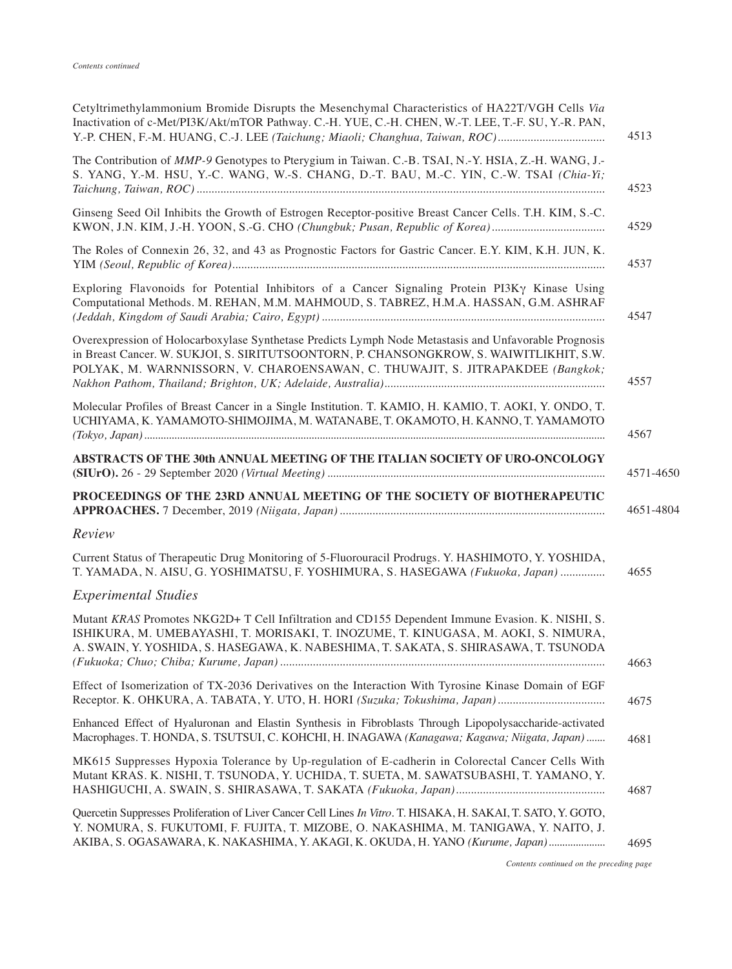| Inactivation of c-Met/PI3K/Akt/mTOR Pathway. C.-H. YUE, C.-H. CHEN, W.-T. LEE, T.-F. SU, Y.-R. PAN,<br>Y.-P. CHEN, F.-M. HUANG, C.-J. LEE (Taichung; Miaoli; Changhua, Taiwan, ROC)                                                                                                | 4513      |
|------------------------------------------------------------------------------------------------------------------------------------------------------------------------------------------------------------------------------------------------------------------------------------|-----------|
| The Contribution of <i>MMP-9</i> Genotypes to Pterygium in Taiwan. C.-B. TSAI, N.-Y. HSIA, Z.-H. WANG, J.-<br>S. YANG, Y.-M. HSU, Y.-C. WANG, W.-S. CHANG, D.-T. BAU, M.-C. YIN, C.-W. TSAI (Chia-Yi;                                                                              | 4523      |
| Ginseng Seed Oil Inhibits the Growth of Estrogen Receptor-positive Breast Cancer Cells. T.H. KIM, S.-C.                                                                                                                                                                            | 4529      |
| The Roles of Connexin 26, 32, and 43 as Prognostic Factors for Gastric Cancer. E.Y. KIM, K.H. JUN, K.                                                                                                                                                                              | 4537      |
| Exploring Flavonoids for Potential Inhibitors of a Cancer Signaling Protein PI3Ky Kinase Using<br>Computational Methods. M. REHAN, M.M. MAHMOUD, S. TABREZ, H.M.A. HASSAN, G.M. ASHRAF                                                                                             | 4547      |
| Overexpression of Holocarboxylase Synthetase Predicts Lymph Node Metastasis and Unfavorable Prognosis<br>in Breast Cancer. W. SUKJOI, S. SIRITUTSOONTORN, P. CHANSONGKROW, S. WAIWITLIKHIT, S.W.<br>POLYAK, M. WARNNISSORN, V. CHAROENSAWAN, C. THUWAJIT, S. JITRAPAKDEE (Bangkok; | 4557      |
| Molecular Profiles of Breast Cancer in a Single Institution. T. KAMIO, H. KAMIO, T. AOKI, Y. ONDO, T.<br>UCHIYAMA, K. YAMAMOTO-SHIMOJIMA, M. WATANABE, T. OKAMOTO, H. KANNO, T. YAMAMOTO                                                                                           | 4567      |
| ABSTRACTS OF THE 30th ANNUAL MEETING OF THE ITALIAN SOCIETY OF URO-ONCOLOGY                                                                                                                                                                                                        | 4571-4650 |
| PROCEEDINGS OF THE 23RD ANNUAL MEETING OF THE SOCIETY OF BIOTHERAPEUTIC                                                                                                                                                                                                            |           |
|                                                                                                                                                                                                                                                                                    | 4651-4804 |
| Review                                                                                                                                                                                                                                                                             |           |
| Current Status of Therapeutic Drug Monitoring of 5-Fluorouracil Prodrugs. Y. HASHIMOTO, Y. YOSHIDA,<br>T. YAMADA, N. AISU, G. YOSHIMATSU, F. YOSHIMURA, S. HASEGAWA (Fukuoka, Japan)                                                                                               | 4655      |
| <b>Experimental Studies</b>                                                                                                                                                                                                                                                        |           |
| Mutant KRAS Promotes NKG2D+ T Cell Infiltration and CD155 Dependent Immune Evasion. K. NISHI, S.<br>ISHIKURA, M. UMEBAYASHI, T. MORISAKI, T. INOZUME, T. KINUGASA, M. AOKI, S. NIMURA,<br>A. SWAIN, Y. YOSHIDA, S. HASEGAWA, K. NABESHIMA, T. SAKATA, S. SHIRASAWA, T. TSUNODA     | 4663      |
| Effect of Isomerization of TX-2036 Derivatives on the Interaction With Tyrosine Kinase Domain of EGF                                                                                                                                                                               | 4675      |
| Enhanced Effect of Hyaluronan and Elastin Synthesis in Fibroblasts Through Lipopolysaccharide-activated<br>Macrophages. T. HONDA, S. TSUTSUI, C. KOHCHI, H. INAGAWA (Kanagawa; Kagawa; Niigata, Japan)                                                                             | 4681      |
| MK615 Suppresses Hypoxia Tolerance by Up-regulation of E-cadherin in Colorectal Cancer Cells With<br>Mutant KRAS. K. NISHI, T. TSUNODA, Y. UCHIDA, T. SUETA, M. SAWATSUBASHI, T. YAMANO, Y.                                                                                        | 4687      |

*Contents continued on the preceding page*